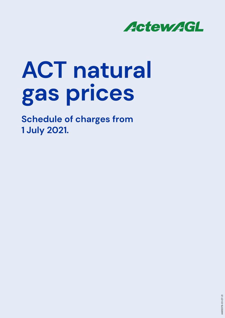

# **ACT natural gas prices**

**Schedule of charges from 1 July 2021.**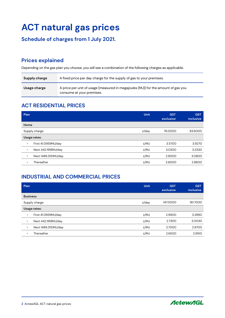# **ACT natural gas prices**

#### **Schedule of charges from 1 July 2021.**

#### **Prices explained**

Depending on the gas plan you choose, you will see a combination of the following charges as applicable.

| Supply charge | A fixed price per day charge for the supply of gas to your premises.                                           |
|---------------|----------------------------------------------------------------------------------------------------------------|
| Usage charge  | A price per unit of usage (measured in megajoules (MJ)) for the amount of gas you<br>consume at your premises. |

#### **ACT RESIDENTIAL PRICES**

**2** ActewAGL ACT natural gas prices

| Plan                             | Unit | <b>GST</b><br>exclusive | <b>GST</b><br>inclusive |
|----------------------------------|------|-------------------------|-------------------------|
| Home                             |      |                         |                         |
| Supply charge                    |      | 76.0000                 | 83.6000                 |
| Usage rates:                     |      |                         |                         |
| First 41.0959MJ/day<br>٠         | c/MJ | 3.5700                  | 3.9270                  |
| Next 442.1918MJ/day<br>$\bullet$ | c/MJ | 3.0300                  | 3.3330                  |
| Next 1489.3151MJ/day<br>٠        | c/MJ | 2.8000                  | 3.0800                  |
| Thereafter<br>٠                  | c/MJ | 2.6000                  | 2.8600                  |

#### **INDUSTRIAL AND COMMERCIAL PRICES**

| Plan                      | <b>Unit</b> | <b>GST</b><br>exclusive | <b>GST</b><br>inclusive |
|---------------------------|-------------|-------------------------|-------------------------|
| <b>Business</b>           |             |                         |                         |
| ¢/day<br>Supply charge    |             | 147.0000                | 161.7000                |
| Usage rates:              |             |                         |                         |
| First 41.0959MJ/day<br>٠  | c/MJ        | 2.9900                  | 3.2890                  |
| Next 442.1918MJ/day<br>٠  | c/MJ        | 2.7300                  | 3.0030                  |
| Next 1489.3151MJ/day<br>٠ | c/MJ        | 2.7000                  | 2.9700                  |
| Thereafter                | c/MJ        | 2.6500                  | 2.9150                  |

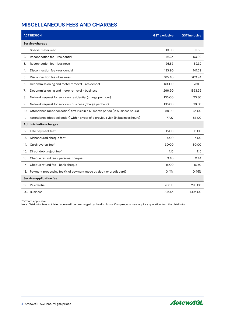#### **MISCELLANEOUS FEES AND CHARGES**

| <b>ACT REGION</b>                                                                         | <b>GST exclusive</b> | <b>GST inclusive</b> |  |  |
|-------------------------------------------------------------------------------------------|----------------------|----------------------|--|--|
| Service charges                                                                           |                      |                      |  |  |
| Special meter read<br>1.                                                                  | 10.30                | 11.33                |  |  |
| Reconnection fee - residential<br>2.                                                      | 46.35                | 50.99                |  |  |
| 3.<br>Reconnection fee - business                                                         | 56.65                | 62.32                |  |  |
| Disconnection fee - residential<br>4.                                                     | 133.90               | 147.29               |  |  |
| Disconnection fee - business<br>5.                                                        | 185.40               | 203.94               |  |  |
| Decommissioning and meter removal - residential<br>6.                                     | 690.10               | 759.11               |  |  |
| Decommissioning and meter removal - business<br>7.                                        | 1266.90              | 1393.59              |  |  |
| Network request for service - residential (charge per hour)<br>8.                         | 103.00               | 113.30               |  |  |
| Network request for service - business (charge per hour)<br>9.                            | 103.00               | 113.30               |  |  |
| Attendance (debt collection) first visit in a 12-month period (in business hours)<br>10.  | 59.09                | 65.00                |  |  |
| Attendance (debt collection) within a year of a previous visit (in business hours)<br>11. | 77.27                | 85.00                |  |  |
| <b>Administration charges</b>                                                             |                      |                      |  |  |
| Late payment fee*<br>12.                                                                  | 15.00                | 15.00                |  |  |
| Dishonoured cheque fee*<br>13.                                                            | 5.00                 | 5.00                 |  |  |
| Card reversal fee*<br>14.                                                                 | 30.00                | 30.00                |  |  |
| Direct debit reject fee*<br>15.                                                           | 1.15                 | 1.15                 |  |  |
| Cheque refund fee - personal cheque<br>16.                                                | 0.40                 | 0.44                 |  |  |
| Cheque refund fee - bank cheque<br>17.                                                    | 15.00                | 16.50                |  |  |
| Payment processing fee (% of payment made by debit or credit card)<br>18.                 | 0.41%                | 0.45%                |  |  |
| Service application fee                                                                   |                      |                      |  |  |
| Residential<br>19.                                                                        | 268.18               | 295.00               |  |  |
| 20. Business                                                                              | 995.45               | 1095.00              |  |  |

\*GST not applicable

Note: Distributor fees not listed above will be on-charged by the distributor. Complex jobs may require a quotation from the distributor.